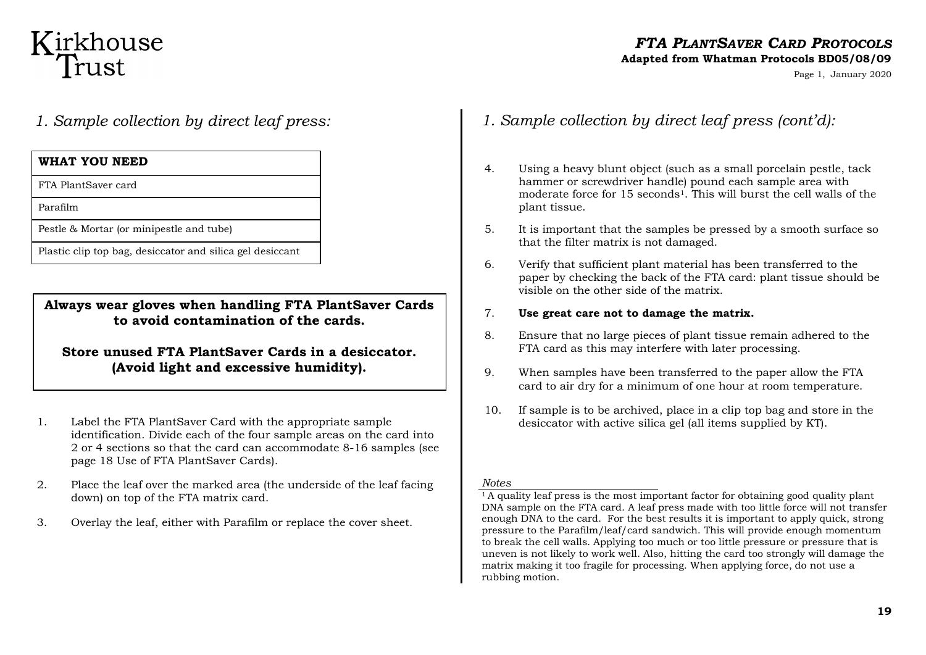## Kirkhouse<br>Trust

## *FTA PLANTSAVER CARD PROTOCOLS*

#### **Adapted from Whatman Protocols BD05/08/09**

Page 1, January 2020

*1. Sample collection by direct leaf press:*

### **WHAT YOU NEED**

FTA PlantSaver card

Parafilm

Pestle & Mortar (or minipestle and tube)

Plastic clip top bag, desiccator and silica gel desiccant

**Always wear gloves when handling FTA PlantSaver Cards to avoid contamination of the cards.**

**Store unused FTA PlantSaver Cards in a desiccator. (Avoid light and excessive humidity).**

- 1. Label the FTA PlantSaver Card with the appropriate sample identification. Divide each of the four sample areas on the card into 2 or 4 sections so that the card can accommodate 8-16 samples (see page 18 Use of FTA PlantSaver Cards).
- 2. Place the leaf over the marked area (the underside of the leaf facing down) on top of the FTA matrix card.
- 3. Overlay the leaf, either with Parafilm or replace the cover sheet.
- *1. Sample collection by direct leaf press (cont'd):*
- 4. Using a heavy blunt object (such as a small porcelain pestle, tack hammer or screwdriver handle) pound each sample area with moderate force for 15 seconds<sup>1</sup>. This will burst the cell walls of the plant tissue.
- 5. It is important that the samples be pressed by a smooth surface so that the filter matrix is not damaged.
- 6. Verify that sufficient plant material has been transferred to the paper by checking the back of the FTA card: plant tissue should be visible on the other side of the matrix.
- 7. **Use great care not to damage the matrix.**
- 8. Ensure that no large pieces of plant tissue remain adhered to the FTA card as this may interfere with later processing.
- 9. When samples have been transferred to the paper allow the FTA card to air dry for a minimum of one hour at room temperature.
- 10. If sample is to be archived, place in a clip top bag and store in the desiccator with active silica gel (all items supplied by KT).

#### *Notes*

<sup>1</sup>A quality leaf press is the most important factor for obtaining good quality plant DNA sample on the FTA card. A leaf press made with too little force will not transfer enough DNA to the card. For the best results it is important to apply quick, strong pressure to the Parafilm/leaf/card sandwich. This will provide enough momentum to break the cell walls. Applying too much or too little pressure or pressure that is uneven is not likely to work well. Also, hitting the card too strongly will damage the matrix making it too fragile for processing. When applying force, do not use a rubbing motion.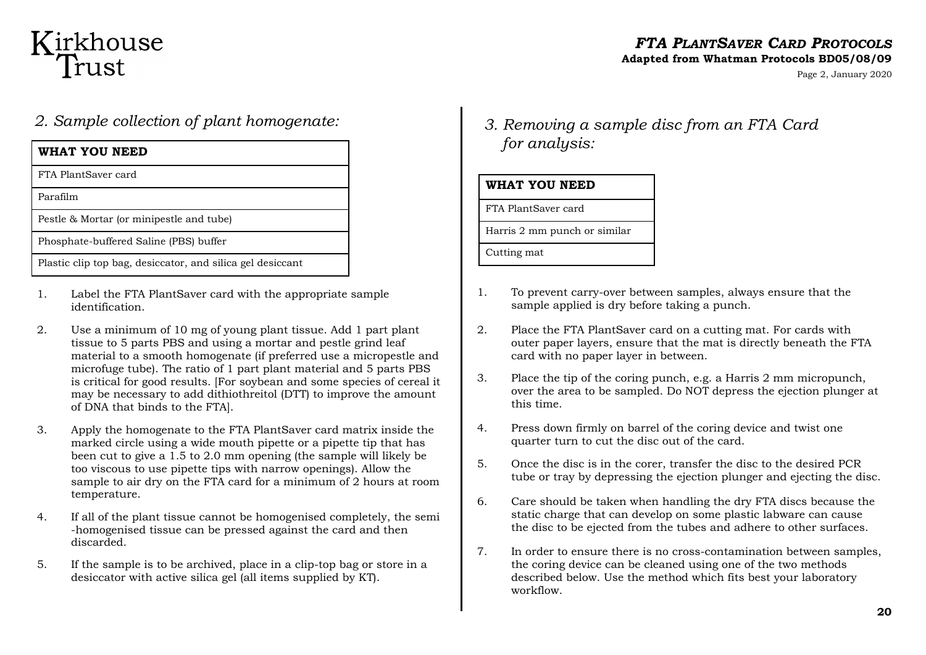## Kirkhouse<br>Trust

#### *FTA PLANTSAVER CARD PROTOCOLS* **Adapted from Whatman Protocols BD05/08/09**

Page 2, January 2020

### *2. Sample collection of plant homogenate:*

| WHAT YOU NEED                                              |
|------------------------------------------------------------|
| FTA PlantSaver card                                        |
| Parafilm                                                   |
| Pestle & Mortar (or minipestle and tube)                   |
| Phosphate-buffered Saline (PBS) buffer                     |
| Plastic clip top bag, desiccator, and silica gel desiccant |

- 1. Label the FTA PlantSaver card with the appropriate sample identification.
- 2. Use a minimum of 10 mg of young plant tissue. Add 1 part plant tissue to 5 parts PBS and using a mortar and pestle grind leaf material to a smooth homogenate (if preferred use a micropestle and microfuge tube). The ratio of 1 part plant material and 5 parts PBS is critical for good results. [For soybean and some species of cereal it may be necessary to add dithiothreitol (DTT) to improve the amount of DNA that binds to the FTA].
- 3. Apply the homogenate to the FTA PlantSaver card matrix inside the marked circle using a wide mouth pipette or a pipette tip that has been cut to give a 1.5 to 2.0 mm opening (the sample will likely be too viscous to use pipette tips with narrow openings). Allow the sample to air dry on the FTA card for a minimum of 2 hours at room temperature.
- 4. If all of the plant tissue cannot be homogenised completely, the semi -homogenised tissue can be pressed against the card and then discarded.
- 5. If the sample is to be archived, place in a clip-top bag or store in a desiccator with active silica gel (all items supplied by KT).

## *3. Removing a sample disc from an FTA Card for analysis:*

| WHAT YOU NEED                |
|------------------------------|
| FTA PlantSaver card          |
| Harris 2 mm punch or similar |
| Cutting mat                  |

- 1. To prevent carry-over between samples, always ensure that the sample applied is dry before taking a punch.
- 2. Place the FTA PlantSaver card on a cutting mat. For cards with outer paper layers, ensure that the mat is directly beneath the FTA card with no paper layer in between.
- 3. Place the tip of the coring punch, e.g. a Harris 2 mm micropunch, over the area to be sampled. Do NOT depress the ejection plunger at this time.
- 4. Press down firmly on barrel of the coring device and twist one quarter turn to cut the disc out of the card.
- 5. Once the disc is in the corer, transfer the disc to the desired PCR tube or tray by depressing the ejection plunger and ejecting the disc.
- 6. Care should be taken when handling the dry FTA discs because the static charge that can develop on some plastic labware can cause the disc to be ejected from the tubes and adhere to other surfaces.
- 7. In order to ensure there is no cross-contamination between samples, the coring device can be cleaned using one of the two methods described below. Use the method which fits best your laboratory workflow.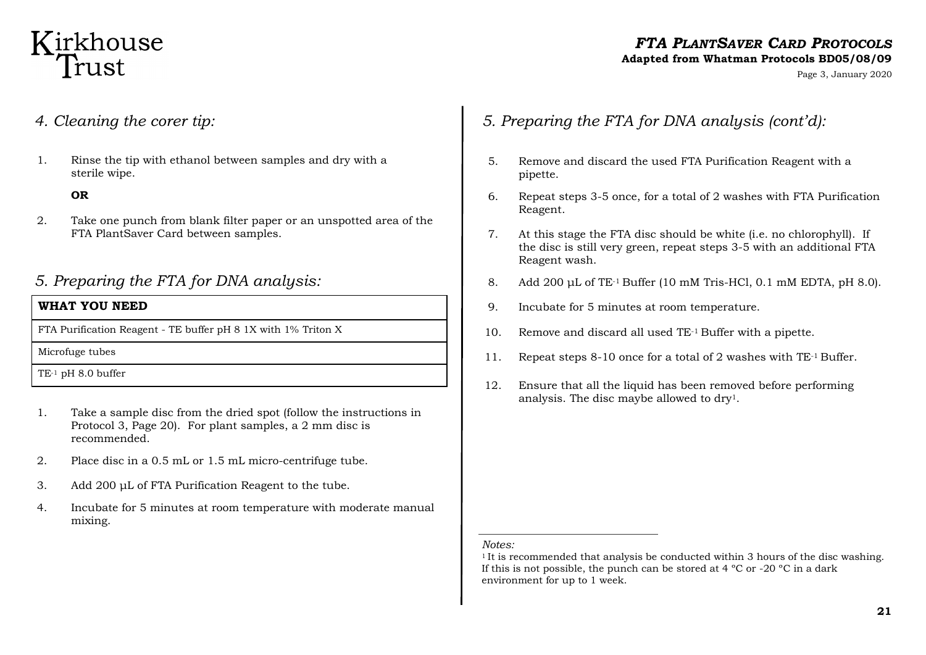## Kirkhouse Trust

## *FTA PLANTSAVER CARD PROTOCOLS*

### **Adapted from Whatman Protocols BD05/08/09**

Page 3, January 2020

- *4. Cleaning the corer tip:*
- 1. Rinse the tip with ethanol between samples and dry with a sterile wipe.

#### **OR**

2. Take one punch from blank filter paper or an unspotted area of the FTA PlantSaver Card between samples.

### *5. Preparing the FTA for DNA analysis:*

#### **WHAT YOU NEED**

FTA Purification Reagent - TE buffer pH 8 1X with 1% Triton X

Microfuge tubes

TE-1 pH 8.0 buffer

- 1. Take a sample disc from the dried spot (follow the instructions in Protocol 3, Page 20). For plant samples, a 2 mm disc is recommended.
- 2. Place disc in a 0.5 mL or 1.5 mL micro-centrifuge tube.
- 3. Add 200 μL of FTA Purification Reagent to the tube.
- 4. Incubate for 5 minutes at room temperature with moderate manual mixing.
- *5. Preparing the FTA for DNA analysis (cont'd):*
- 5. Remove and discard the used FTA Purification Reagent with a pipette.
- 6. Repeat steps 3-5 once, for a total of 2 washes with FTA Purification Reagent.
- 7. At this stage the FTA disc should be white (i.e. no chlorophyll). If the disc is still very green, repeat steps 3-5 with an additional FTA Reagent wash.
- 8. Add 200 µL of TE<sup>-1</sup> Buffer (10 mM Tris-HCl, 0.1 mM EDTA, pH 8.0).
- 9. Incubate for 5 minutes at room temperature.
- 10. Remove and discard all used TE-1 Buffer with a pipette.
- 11. Repeat steps 8-10 once for a total of 2 washes with TE-1 Buffer.
- 12. Ensure that all the liquid has been removed before performing analysis. The disc maybe allowed to dry1.

#### *Notes:*

<sup>&</sup>lt;sup>1</sup>It is recommended that analysis be conducted within 3 hours of the disc washing. If this is not possible, the punch can be stored at  $4^{\circ}$ C or  $-20^{\circ}$ C in a dark environment for up to 1 week.